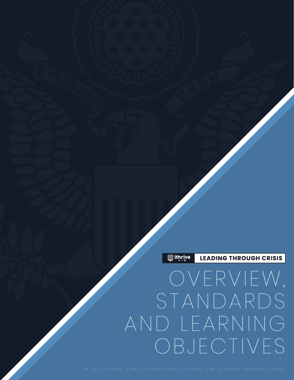LEADING THROUGH CRISIS  **ithrive** 

# OVERVIEW, STANDARDS AND LEARNING OBJECTIVES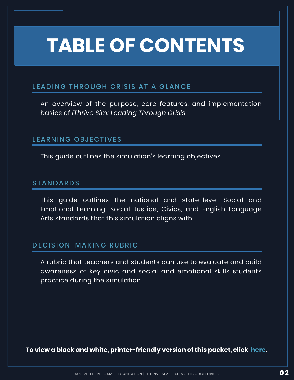# **TABLE OF CONTENTS**

# LEADING THROUGH CRISIS AT A GLANCE

[An overview of the purpose, core features, and implementation](#page-2-0)  basics of *iThrive Sim: Leading Through Crisis*.

# LEARNING OBJECTIVES

[This guide outlines the simulation's learning objectives.](#page-4-0)

## STANDARDS

This guide outlines the national and state-level Social and [Emotional Learning, Social Justice, Civics, and English Language](#page-5-0)  Arts standards that this simulation aligns with.

## DECISION-MAKING RUBRIC

[A rubric that teachers and students can use to evaluate and build](#page-10-0)  awareness of key civic and social and emotional skills students practice during the simulation.

**To view a black and white, printer-friendly version of this packet, click [here.](https://ithrivegames.org/wp-content/uploads/2021/06/LTC-Packet-1-Overview-PF.pdf)**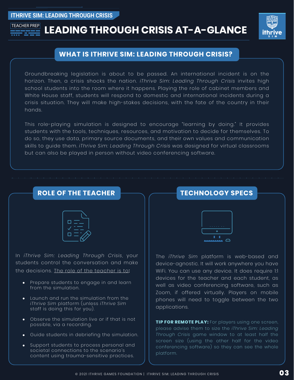#### <span id="page-2-0"></span>**ITHRIVE SIM: LEADING THROUGH CRISIS**



# TEACHER PREP**LEADING THROUGH CRISIS AT-A-GLANCE**



### **WHAT IS ITHRIVE SIM: LEADING THROUGH CRISIS?**

Groundbreaking legislation is about to be passed. An international incident is on the horizon. Then, a crisis shocks the nation. *iThrive Sim: Leading Through Crisis* invites high school students into the room where it happens. Playing the role of cabinet members and White House staff, students will respond to domestic and international incidents during a crisis situation. They will make high-stakes decisions, with the fate of the country in their hands.

This role-playing simulation is designed to encourage "learning by doing." It provides students with the tools, techniques, resources, and motivation to decide for themselves. To do so, they use data, primary source documents, and their own values and communication skills to guide them. *iThrive Sim: Leading Through Crisis* was designed for virtual classrooms but can also be played in person without video conferencing software.

## **ROLE OF THE TEACHER**



In *iThrive Sim: Leading Through Crisis*, your students control the conversation and make the decisions. The role of the teacher is to:

- Prepare students to engage in and learn from the simulation.
- Launch and run the simulation from the *iThrive Sim* platform (unless *iThrive Sim* staff is doing this for you).
- Observe the simulation live or if that is not possible, via a recording.
- Guide students in debriefing the simulation.
- Support students to process personal and  $\bullet$ societal connections to the scenario's content using trauma-sensitive practices.





The *iThrive Sim* platform is web-based and device-agnostic. It will work anywhere you have WiFi. You can use any device. It does require 1:1 devices for the teacher and each student, as well as video conferencing software, such as Zoom, if offered virtually. Players on mobile phones will need to toggle between the two applications.

**TIP FOR REMOTE PLAY:** For players using one screen, please advise them to size the *iThrive Sim: Leading Through Crisis* game window to at least half the screen size (using the other half for the video conferencing software) so they can see the whole platform.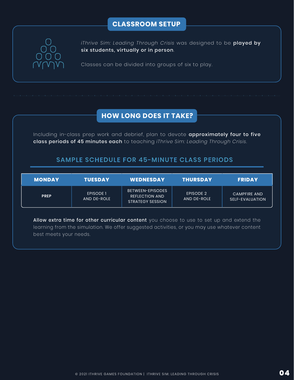# **CLASSROOM SETUP**



*iThrive Sim: Leading Through Crisis* was designed to be played by six students, virtually or in person.

Classes can be divided into groups of six to play.

# **HOW LONG DOES IT TAKE?**

Including in-class prep work and debrief, plan to devote approximately four to five class periods of 45 minutes each to teaching *iThrive Sim: Leading Through Crisis*.

### SAMPLE SCHEDULE FOR 45-MINUTE CLASS PERIODS

| <b>MONDAY</b> | <b>TUESDAY</b>           | <b>WEDNESDAY</b>                                                            | THURSDAY                 | <b>FRIDAY</b>                          |
|---------------|--------------------------|-----------------------------------------------------------------------------|--------------------------|----------------------------------------|
| <b>PREP</b>   | EPISODE 1<br>AND DE-ROLE | <b>BETWEEN-EPISODES</b><br><b>REFLECTION AND</b><br><b>STRATEGY SESSION</b> | EPISODE 2<br>AND DE-ROLE | <b>CAMPFIRE AND</b><br>SELF-EVALUATION |

Allow extra time for other curricular content you choose to use to set up and extend the learning from the simulation. We offer suggested activities, or you may use whatever content best meets your needs.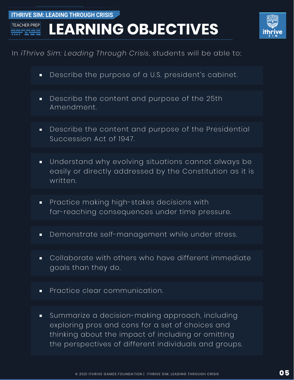<span id="page-4-0"></span>**ITHRIVE SIM: LEADING THROUGH CRISIS**

# **LEARNING OBJECTIVES**



# In *iThrive Sim: Leading Through Crisis*, students will be able to:

- Describe the purpose of a U.S. president's cabinet.  $\blacksquare$
- Describe the content and purpose of the 25th  $\blacksquare$ Amendment.
- Describe the content and purpose of the Presidential  $\blacksquare$ Succession Act of 1947.
- Understand why evolving situations cannot always be  $\blacksquare$ easily or directly addressed by the Constitution as it is written.
- Practice making high-stakes decisions with  $\blacksquare$ far-reaching consequences under time pressure.
- Demonstrate self-management while under stress.  $\blacksquare$
- Collaborate with others who have different immediate  $\blacksquare$ goals than they do.
- Practice clear communication.  $\blacksquare$
- Summarize a decision-making approach, including  $\blacksquare$ exploring pros and cons for a set of choices and thinking about the impact of including or omitting the perspectives of different individuals and groups.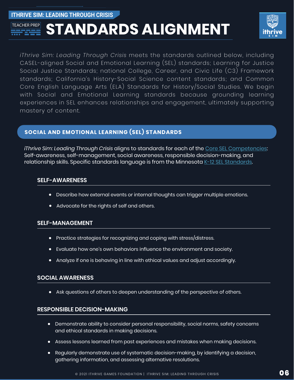<span id="page-5-0"></span>**ITHRIVE SIM: LEADING THROUGH CRISIS**

# **STANDARDS ALIGNMENT TEACHER PREP**



*iThrive Sim: Leading Through Crisis* meets the standards outlined below, including CASEL-aligned Social and Emotional Learning (SEL) standards; Learning for Justice Social Justice Standards; national College, Career, and Civic Life (C3) Framework standards; California's History-Social Science content standards; and Common Core English Language Arts (ELA) Standards for History/Social Studies. We begin with Social and Emotional Learning standards because grounding learning experiences in SEL enhances relationships and engagement, ultimately supporting mastery of content.

#### **SOCIAL AND EMOTIONAL LEARNING (SEL) STANDARDS**

*iThrive Sim: Leading Through Crisis* aligns to standards for each of the [Core SEL Competencies:](https://casel.org/core-competencies/) Self-awareness, self-management, social awareness, responsible decision-making, and relationship skills. Specific standards language is from the Minnesot[a K-12 SEL Standards.](https://education.mn.gov/MDE/dse/safe/social/imp/)

#### **SELF-AWARENESS**

- Describe how external events or internal thoughts can trigger multiple emotions.
- Advocate for the rights of self and others.  $\bullet$

#### **SELF-MANAGEMENT**

- Practice strategies for recognizing and coping with stress/distress.  $\bullet$
- Evaluate how one's own behaviors influence the environment and society.
- $\bullet$ Analyze if one is behaving in line with ethical values and adjust accordingly.

#### **SOCIAL AWARENESS**

Ask questions of others to deepen understanding of the perspective of others.

#### **RESPONSIBLE DECISION-MAKING**

- Demonstrate ability to consider personal responsibility, social norms, safety concerns and ethical standards in making decisions.
- Assess lessons learned from past experiences and mistakes when making decisions.
- Regularly demonstrate use of systematic decision-making, by identifying a decision, gathering information, and assessing alternative resolutions.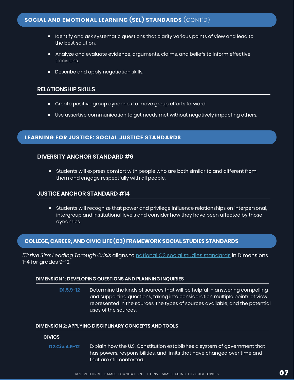- $\bullet$  Identify and ask systematic questions that clarify various points of view and lead to the best solution.
- Analyze and evaluate evidence, arguments, claims, and beliefs to inform effective decisions.
- Describe and apply negotiation skills.

#### **RELATIONSHIP SKILLS**

- Create positive group dynamics to move group efforts forward.
- Use assertive communication to get needs met without negatively impacting others.

#### **LEARNING FOR JUSTICE: SOCIAL JUSTICE STANDARDS**

#### **DIVERSITY ANCHOR STANDARD #6**

Students will express comfort with people who are both similar to and different from them and engage respectfully with all people.

#### **JUSTICE ANCHOR STANDARD #14**

Students will recognize that power and privilege influence relationships on interpersonal, intergroup and institutional levels and consider how they have been affected by those dynamics.

#### **COLLEGE, CAREER, AND CIVIC LIFE (C3) FRAMEWORK SOCIAL STUDIES STANDARDS**

*iThrive Sim: Leading Through Crisis* aligns to [national C3 social studies standards](https://www.socialstudies.org/standards/c3) in Dimensions 1-4 for grades 9-12.

#### **DIMENSION 1: DEVELOPING QUESTIONS AND PLANNING INQUIRIES**

Determine the kinds of sources that will be helpful in answering compelling and supporting questions, taking into consideration multiple points of view represented in the sources, the types of sources available, and the potential uses of the sources. **D1.5.9-12**

#### **DIMENSION 2: APPLYING DISCIPLINARY CONCEPTS AND TOOLS**

#### **CIVICS**

Explain how the U.S. Constitution establishes a system of government that has powers, responsibilities, and limits that have changed over time and that are still contested. **D2.Civ.4.9-12**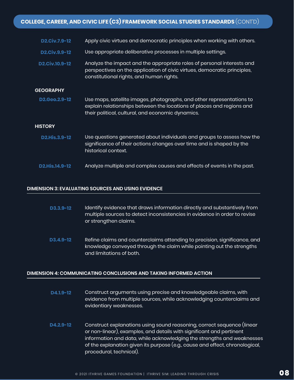| <b>D2.Civ.7.9-12</b>  | Apply civic virtues and democratic principles when working with others.                                                                                                                             |  |
|-----------------------|-----------------------------------------------------------------------------------------------------------------------------------------------------------------------------------------------------|--|
| <b>D2.Civ.9.9-12</b>  | Use appropriate deliberative processes in multiple settings.                                                                                                                                        |  |
| <b>D2.Civ.10.9-12</b> | Analyze the impact and the appropriate roles of personal interests and<br>perspectives on the application of civic virtues, democratic principles,<br>constitutional rights, and human rights.      |  |
| <b>GEOGRAPHY</b>      |                                                                                                                                                                                                     |  |
| D2.Geo.2.9-12         | Use maps, satellite images, photographs, and other representations to<br>explain relationships between the locations of places and regions and<br>their political, cultural, and economic dynamics. |  |
| <b>HISTORY</b>        |                                                                                                                                                                                                     |  |
| <b>D2.His.3.9-12</b>  | Use questions generated about individuals and groups to assess how the<br>significance of their actions changes over time and is shaped by the<br>historical context.                               |  |
| <b>D2.His.14.9-12</b> | Analyze multiple and complex causes and effects of events in the past.                                                                                                                              |  |

#### **DIMENSION 3: EVALUATING SOURCES AND USING EVIDENCE**

- Identify evidence that draws information directly and substantively from multiple sources to detect inconsistencies in evidence in order to revise or strengthen claims. **D3.3.9-12**
- Refine claims and counterclaims attending to precision, significance, and knowledge conveyed through the claim while pointing out the strengths and limitations of both. **D3.4.9-12**

#### **DIMENSION 4: COMMUNICATING CONCLUSIONS AND TAKING INFORMED ACTION**

| D4.1.9-12 | Construct arguments using precise and knowledgeable claims, with        |
|-----------|-------------------------------------------------------------------------|
|           | evidence from multiple sources, while acknowledging counterclaims and l |
|           | evidentiary weaknesses.                                                 |
|           |                                                                         |
|           |                                                                         |

Construct explanations using sound reasoning, correct sequence (linear or non-linear), examples, and details with significant and pertinent information and data, while acknowledging the strengths and weaknesses of the explanation given its purpose (e.g., cause and effect, chronological, procedural, technical). **D4.2.9-12**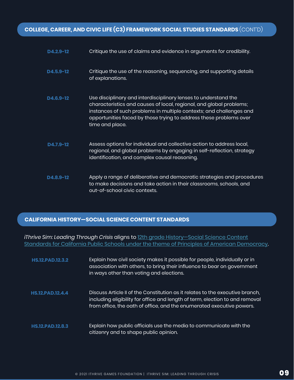# **COLLEGE, CAREER, AND CIVIC LIFE (C3) FRAMEWORK SOCIAL STUDIES STANDARDS** (CONT'D)

| $D4.2.9 - 12$ | Critique the use of claims and evidence in arguments for credibility.                                                                                                                                                                                                                                  |
|---------------|--------------------------------------------------------------------------------------------------------------------------------------------------------------------------------------------------------------------------------------------------------------------------------------------------------|
| $D4.5.9 - 12$ | Critique the use of the reasoning, sequencing, and supporting details<br>of explanations.                                                                                                                                                                                                              |
| D4.6.9-12     | Use disciplinary and interdisciplinary lenses to understand the<br>characteristics and causes of local, regional, and global problems;<br>instances of such problems in multiple contexts; and challenges and<br>opportunities faced by those trying to address these problems over<br>time and place. |
| D4.7.9-12     | Assess options for individual and collective action to address local,<br>regional, and global problems by engaging in self-reflection, strategy<br>identification, and complex causal reasoning.                                                                                                       |
| D4.8.9-12     | Apply a range of deliberative and democratic strategies and procedures<br>to make decisions and take action in their classrooms, schools, and<br>out-of-school civic contexts.                                                                                                                         |

#### **CALIFORNIA HISTORY—SOCIAL SCIENCE CONTENT STANDARDS**

*iThrive Sim: Leading Through Crisis* aligns to [12th grade History—Social Science Content](https://www.cde.ca.gov/BE/ST/SS/documents/histsocscistnd.pdf) [Standards for California Public Schools under the theme of Principles of American Democracy.](https://www.cde.ca.gov/BE/ST/SS/documents/histsocscistnd.pdf)

| <b>HS.12.PAD.12.3.2</b> | Explain how civil society makes it possible for people, individually or in<br>association with others, to bring their influence to bear on government<br>in ways other than voting and elections.                                      |
|-------------------------|----------------------------------------------------------------------------------------------------------------------------------------------------------------------------------------------------------------------------------------|
| HS.12.PAD.12.4.4        | Discuss Article II of the Constitution as it relates to the executive branch,<br>including eligibility for office and length of term, election to and removal<br>from office, the oath of office, and the enumerated executive powers. |
| <b>HS.12.PAD.12.8.3</b> | Explain how public officials use the media to communicate with the<br>citizenry and to shape public opinion.                                                                                                                           |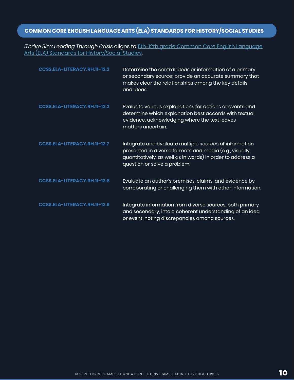# **COMMON CORE ENGLISH LANGUAGE ARTS (ELA) STANDARDS FOR HISTORY/SOCIAL STUDIES**

*iThrive Sim: Leading Through Crisis* aligns t[o 11th-12th grade Common Core English Language](http://www.corestandards.org/ELA-Literacy/RH/11-12/) [Arts \(ELA\) Standards for History/Social Studies.](http://www.corestandards.org/ELA-Literacy/RH/11-12/)

| CCSS.ELA-LITERACY.RH.11-12.2        | Determine the central ideas or information of a primary<br>or secondary source; provide an accurate summary that<br>makes clear the relationships among the key details<br>and ideas.                           |
|-------------------------------------|-----------------------------------------------------------------------------------------------------------------------------------------------------------------------------------------------------------------|
| <b>CCSS.ELA-LITERACY.RH.11-12.3</b> | Evaluate various explanations for actions or events and<br>determine which explanation best accords with textual<br>evidence, acknowledging where the text leaves<br>matters uncertain.                         |
| CCSS.ELA-LITERACY.RH.11-12.7        | Integrate and evaluate multiple sources of information<br>presented in diverse formats and media (e.g., visually,<br>quantitatively, as well as in words) in order to address a<br>question or solve a problem. |
| <b>CCSS.ELA-LITERACY.RH.11-12.8</b> | Evaluate an author's premises, claims, and evidence by<br>corroborating or challenging them with other information.                                                                                             |
| <b>CCSS.ELA-LITERACY.RH.11-12.9</b> | Integrate information from diverse sources, both primary<br>and secondary, into a coherent understanding of an idea<br>or event, noting discrepancies among sources.                                            |